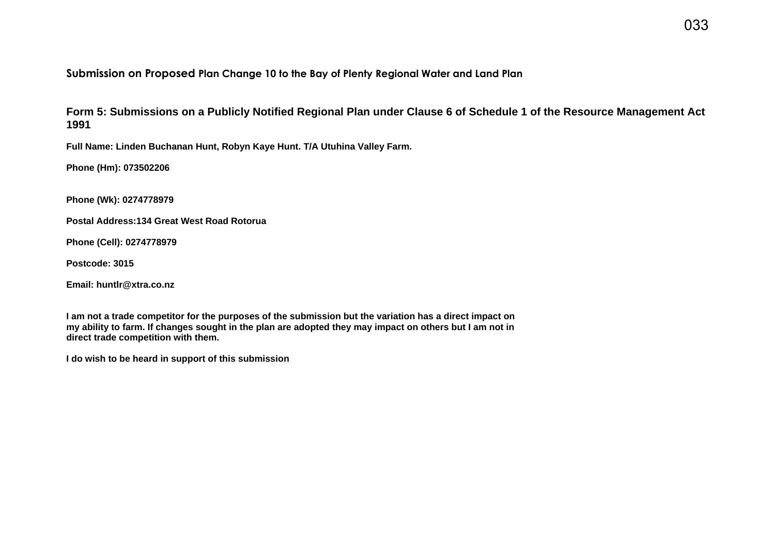# **Submission on Proposed Plan Change 10 to the Bay of Plenty Regional Water and Land Plan**

**Form 5: Submissions on a Publicly Notified Regional Plan under Clause 6 of Schedule 1 of the Resource Management Act 1991** 

**Full Name: Linden Buchanan Hunt, Robyn Kaye Hunt. T/A Utuhina Valley Farm.**

**Phone (Hm): 073502206**

**Phone (Wk): 0274778979**

**Postal Address:134 Great West Road Rotorua**

**Phone (Cell): 0274778979**

**Postcode: 3015**

**Email: huntlr@xtra.co.nz**

**I am not a trade competitor for the purposes of the submission but the variation has a direct impact on my ability to farm. If changes sought in the plan are adopted they may impact on others but I am not in direct trade competition with them.** 

**I do wish to be heard in support of this submission**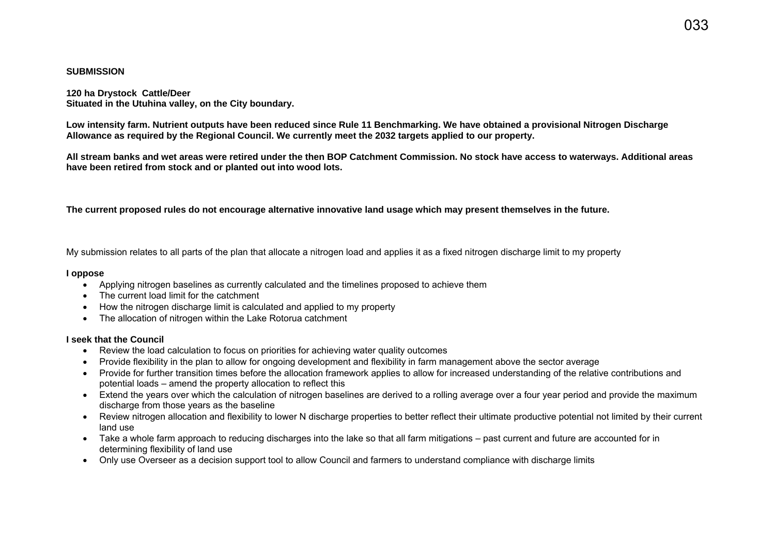### **SUBMISSION**

**120 ha Drystock Cattle/Deer Situated in the Utuhina valley, on the City boundary.** 

**Low intensity farm. Nutrient outputs have been reduced since Rule 11 Benchmarking. We have obtained a provisional Nitrogen Discharge Allowance as required by the Regional Council. We currently meet the 2032 targets applied to our property.** 

**All stream banks and wet areas were retired under the then BOP Catchment Commission. No stock have access to waterways. Additional areas have been retired from stock and or planted out into wood lots.** 

**The current proposed rules do not encourage alternative innovative land usage which may present themselves in the future.** 

My submission relates to all parts of the plan that allocate a nitrogen load and applies it as a fixed nitrogen discharge limit to my property

### **I oppose**

- Applying nitrogen baselines as currently calculated and the timelines proposed to achieve them
- The current load limit for the catchment
- How the nitrogen discharge limit is calculated and applied to my property
- The allocation of nitrogen within the Lake Rotorua catchment

## **I seek that the Council**

- Review the load calculation to focus on priorities for achieving water quality outcomes
- Provide flexibility in the plan to allow for ongoing development and flexibility in farm management above the sector average
- Provide for further transition times before the allocation framework applies to allow for increased understanding of the relative contributions and potential loads – amend the property allocation to reflect this
- Extend the years over which the calculation of nitrogen baselines are derived to a rolling average over a four year period and provide the maximum discharge from those years as the baseline
- Review nitrogen allocation and flexibility to lower N discharge properties to better reflect their ultimate productive potential not limited by their current land use
- Take a whole farm approach to reducing discharges into the lake so that all farm mitigations past current and future are accounted for in determining flexibility of land use
- Only use Overseer as a decision support tool to allow Council and farmers to understand compliance with discharge limits